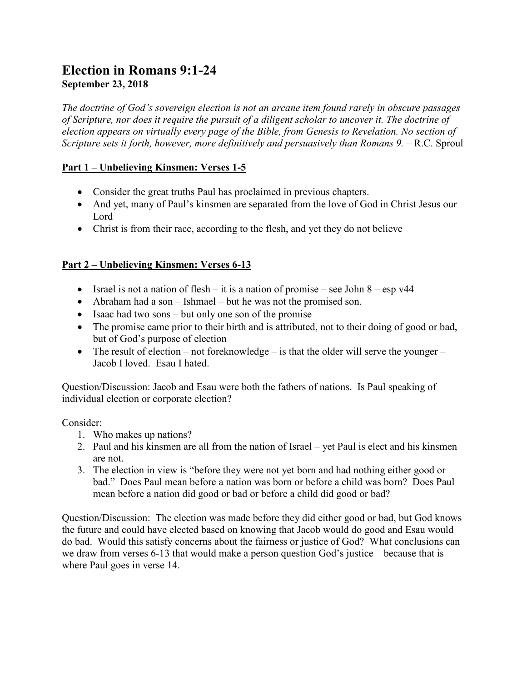# **Election in Romans 9:1-24 September 23, 2018**

*The doctrine of God's sovereign election is not an arcane item found rarely in obscure passages of Scripture, nor does it require the pursuit of a diligent scholar to uncover it. The doctrine of election appears on virtually every page of the Bible, from Genesis to Revelation. No section of Scripture sets it forth, however, more definitively and persuasively than Romans 9.* – R.C. Sproul

## **Part 1 – Unbelieving Kinsmen: Verses 1-5**

- Consider the great truths Paul has proclaimed in previous chapters.
- And yet, many of Paul's kinsmen are separated from the love of God in Christ Jesus our Lord
- Christ is from their race, according to the flesh, and yet they do not believe

### **Part 2 – Unbelieving Kinsmen: Verses 6-13**

- Israel is not a nation of flesh it is a nation of promise see John  $8 \text{esp v44}$
- Abraham had a son Ishmael but he was not the promised son.
- $\bullet$  Isaac had two sons but only one son of the promise
- The promise came prior to their birth and is attributed, not to their doing of good or bad, but of God's purpose of election
- The result of election not foreknowledge is that the older will serve the younger Jacob I loved. Esau I hated.

Question/Discussion: Jacob and Esau were both the fathers of nations. Is Paul speaking of individual election or corporate election?

Consider:

- 1. Who makes up nations?
- 2. Paul and his kinsmen are all from the nation of Israel yet Paul is elect and his kinsmen are not.
- 3. The election in view is "before they were not yet born and had nothing either good or bad." Does Paul mean before a nation was born or before a child was born? Does Paul mean before a nation did good or bad or before a child did good or bad?

Question/Discussion: The election was made before they did either good or bad, but God knows the future and could have elected based on knowing that Jacob would do good and Esau would do bad. Would this satisfy concerns about the fairness or justice of God? What conclusions can we draw from verses 6-13 that would make a person question God's justice – because that is where Paul goes in verse 14.